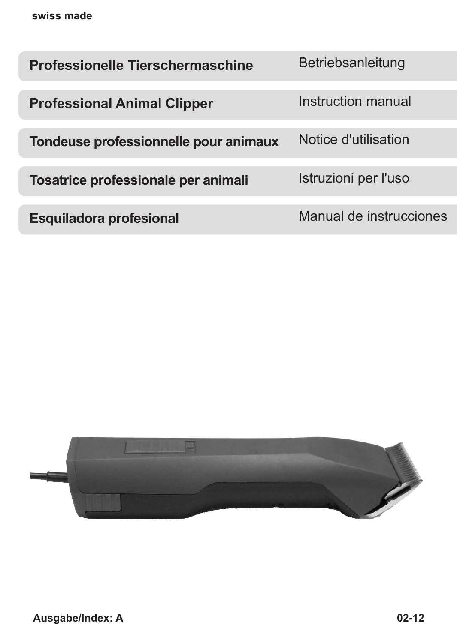| <b>Professionelle Tierschermaschine</b> | Betriebsanleitung       |
|-----------------------------------------|-------------------------|
| <b>Professional Animal Clipper</b>      | Instruction manual      |
| Tondeuse professionnelle pour animaux   | Notice d'utilisation    |
| Tosatrice professionale per animali     | Istruzioni per l'uso    |
| <b>Esquiladora profesional</b>          | Manual de instrucciones |

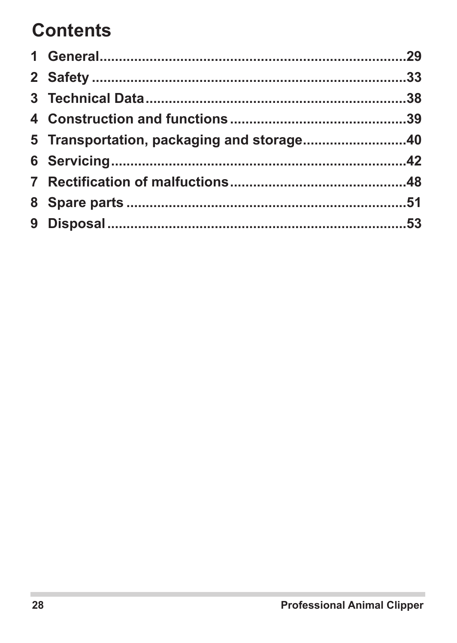# **Contents**

| 5 Transportation, packaging and storage40 |  |
|-------------------------------------------|--|
|                                           |  |
|                                           |  |
|                                           |  |
|                                           |  |
|                                           |  |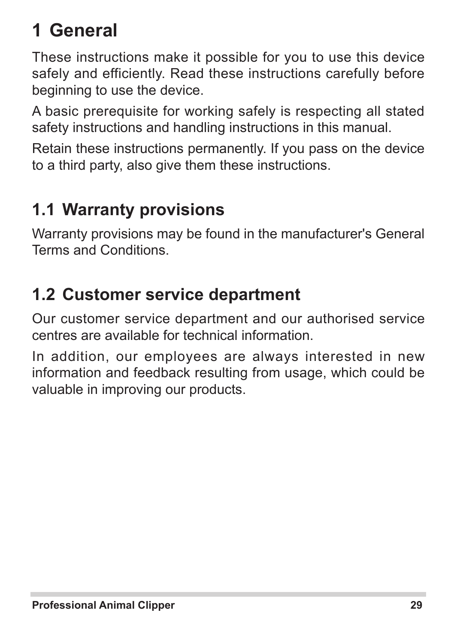# **1 General**

These instructions make it possible for you to use this device safely and efficiently. Read these instructions carefully before beginning to use the device.

A basic prerequisite for working safely is respecting all stated safety instructions and handling instructions in this manual.

Retain these instructions permanently. If you pass on the device to a third party, also give them these instructions.

# **1.1 Warranty provisions**

Warranty provisions may be found in the manufacturer's General Terms and Conditions.

## **1.2 Customer service department**

Our customer service department and our authorised service centres are available for technical information.

In addition, our employees are always interested in new information and feedback resulting from usage, which could be valuable in improving our products.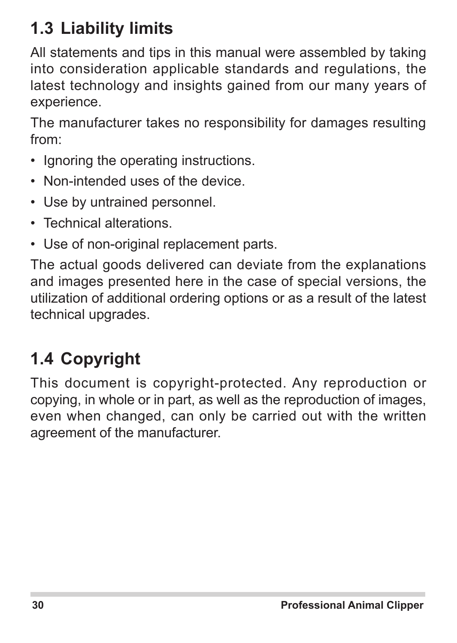# **1.3 Liability limits**

All statements and tips in this manual were assembled by taking into consideration applicable standards and regulations, the latest technology and insights gained from our many years of experience.

The manufacturer takes no responsibility for damages resulting from:

- Ignoring the operating instructions.
- Non-intended uses of the device.
- Use by untrained personnel.
- • Technical alterations.
- Use of non-original replacement parts.

The actual goods delivered can deviate from the explanations and images presented here in the case of special versions, the utilization of additional ordering options or as a result of the latest technical upgrades.

# **1.4 Copyright**

This document is copyright-protected. Any reproduction or copying, in whole or in part, as well as the reproduction of images, even when changed, can only be carried out with the written agreement of the manufacturer.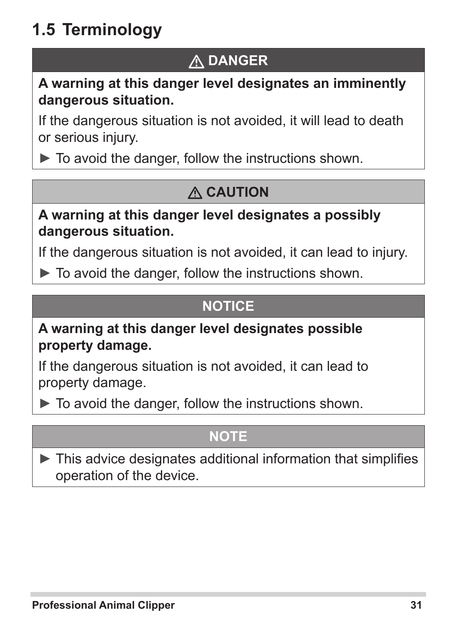# **1.5 Terminology**

## **DANGER**

#### **A warning at this danger level designates an imminently dangerous situation.**

If the dangerous situation is not avoided, it will lead to death or serious injury.

 $\blacktriangleright$  To avoid the danger, follow the instructions shown.

## **CAUTION**

#### **A warning at this danger level designates a possibly dangerous situation.**

If the dangerous situation is not avoided, it can lead to injury.

► To avoid the danger, follow the instructions shown.

### **NOTICE**

#### **A warning at this danger level designates possible property damage.**

If the dangerous situation is not avoided, it can lead to property damage.

 $\triangleright$  To avoid the danger, follow the instructions shown.

### **NOTE**

 $\blacktriangleright$  This advice designates additional information that simplifies operation of the device.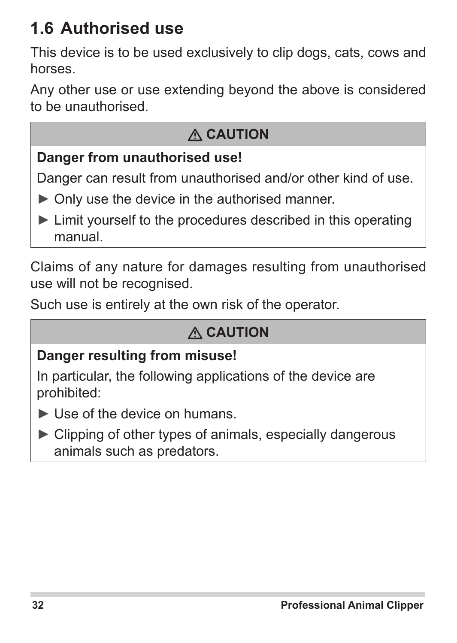## **1.6 Authorised use**

This device is to be used exclusively to clip dogs, cats, cows and horses.

Any other use or use extending beyond the above is considered to be unauthorised.

## **CAUTION**

### **Danger from unauthorised use!**

Danger can result from unauthorised and/or other kind of use.

- ► Only use the device in the authorised manner.
- ► Limit yourself to the procedures described in this operating manual.

Claims of any nature for damages resulting from unauthorised use will not be recognised.

Such use is entirely at the own risk of the operator.

### **CAUTION**

#### **Danger resulting from misuse!**

In particular, the following applications of the device are prohibited:

- ► Use of the device on humans.
- ► Clipping of other types of animals, especially dangerous animals such as predators.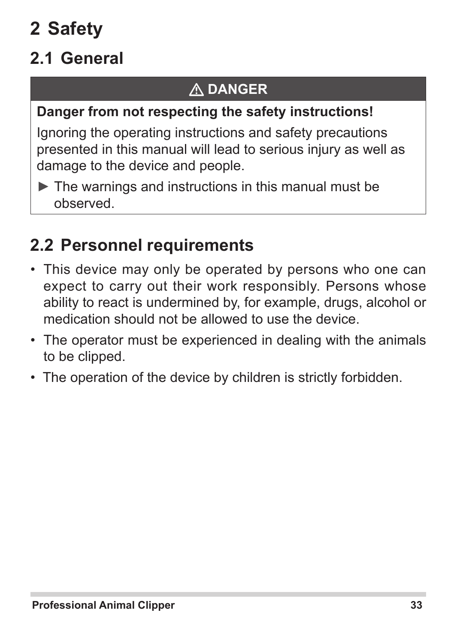# **2 Safety**

# **2.1 General**

## **DANGER**

### **Danger from not respecting the safety instructions!**

Ignoring the operating instructions and safety precautions presented in this manual will lead to serious injury as well as damage to the device and people.

 $\blacktriangleright$  The warnings and instructions in this manual must be observed.

## **2.2 Personnel requirements**

- This device may only be operated by persons who one can expect to carry out their work responsibly. Persons whose ability to react is undermined by, for example, drugs, alcohol or medication should not be allowed to use the device.
- The operator must be experienced in dealing with the animals to be clipped.
- The operation of the device by children is strictly forbidden.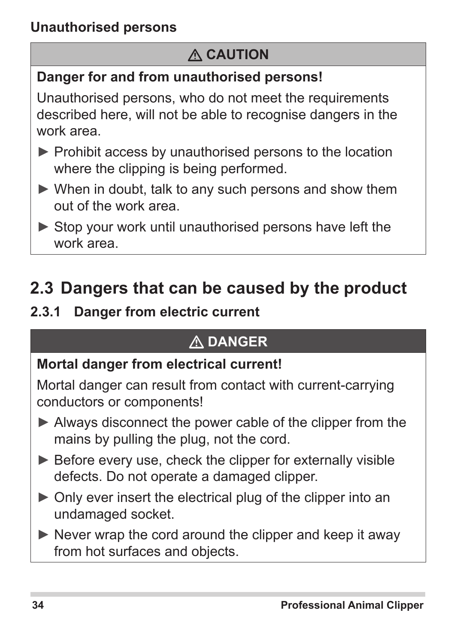## **CAUTION**

### **Danger for and from unauthorised persons!**

Unauthorised persons, who do not meet the requirements described here, will not be able to recognise dangers in the work area.

- ► Prohibit access by unauthorised persons to the location where the clipping is being performed.
- ► When in doubt, talk to any such persons and show them out of the work area.
- ► Stop your work until unauthorised persons have left the work area.

## **2.3 Dangers that can be caused by the product**

### **2.3.1 Danger from electric current**

## **DANGER**

### **Mortal danger from electrical current!**

Mortal danger can result from contact with current-carrying conductors or components!

- ► Always disconnect the power cable of the clipper from the mains by pulling the plug, not the cord.
- ► Before every use, check the clipper for externally visible defects. Do not operate a damaged clipper.
- ► Only ever insert the electrical plug of the clipper into an undamaged socket.
- $\triangleright$  Never wrap the cord around the clipper and keep it away from hot surfaces and objects.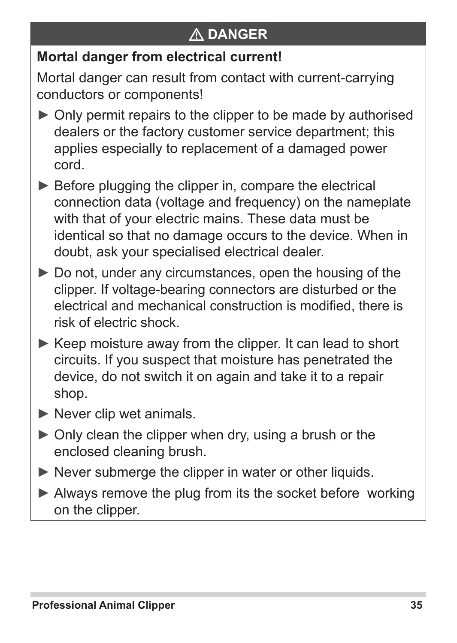## **DANGER**

### **Mortal danger from electrical current!**

Mortal danger can result from contact with current-carrying conductors or components!

- ► Only permit repairs to the clipper to be made by authorised dealers or the factory customer service department; this applies especially to replacement of a damaged power cord.
- ► Before plugging the clipper in, compare the electrical connection data (voltage and frequency) on the nameplate with that of your electric mains. These data must be identical so that no damage occurs to the device. When in doubt, ask your specialised electrical dealer.
- ► Do not, under any circumstances, open the housing of the clipper. If voltage-bearing connectors are disturbed or the electrical and mechanical construction is modified, there is risk of electric shock.
- ► Keep moisture away from the clipper. It can lead to short circuits. If you suspect that moisture has penetrated the device, do not switch it on again and take it to a repair shop.
- $\blacktriangleright$  Never clip wet animals.
- $\triangleright$  Only clean the clipper when dry, using a brush or the enclosed cleaning brush.
- ► Never submerge the clipper in water or other liquids.
- ► Always remove the plug from its the socket before working on the clipper.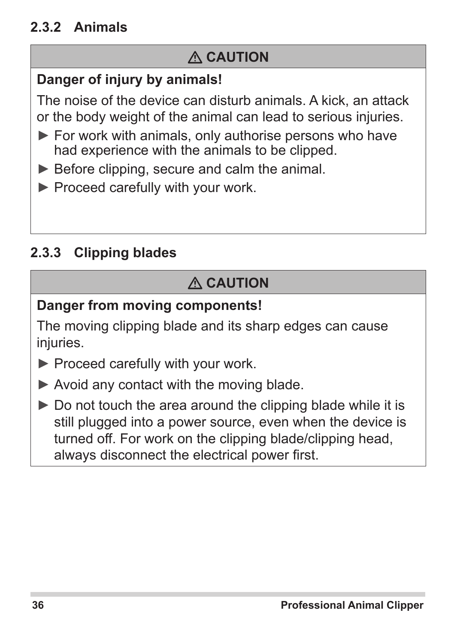### **2.3.2 Animals**

### **CAUTION**

### **Danger of injury by animals!**

The noise of the device can disturb animals. A kick, an attack or the body weight of the animal can lead to serious injuries.

- ► For work with animals, only authorise persons who have had experience with the animals to be clipped.
- ► Before clipping, secure and calm the animal.
- ► Proceed carefully with your work.

### **2.3.3 Clipping blades**

## **CAUTION**

### **Danger from moving components!**

The moving clipping blade and its sharp edges can cause injuries.

- ► Proceed carefully with your work.
- ► Avoid any contact with the moving blade.
- $\triangleright$  Do not touch the area around the clipping blade while it is still plugged into a power source, even when the device is turned off. For work on the clipping blade/clipping head, always disconnect the electrical power first.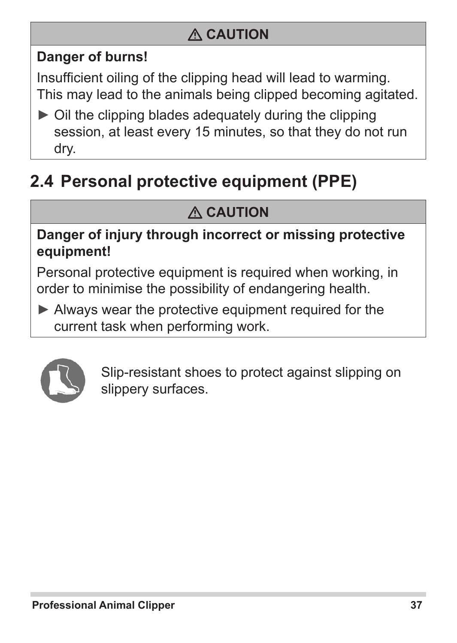## **CAUTION**

### **Danger of burns!**

Insufficient oiling of the clipping head will lead to warming. This may lead to the animals being clipped becoming agitated.

► Oil the clipping blades adequately during the clipping session, at least every 15 minutes, so that they do not run dry.

# **2.4 Personal protective equipment (PPE)**

## **CAUTION**

#### **Danger of injury through incorrect or missing protective equipment!**

Personal protective equipment is required when working, in order to minimise the possibility of endangering health.

► Always wear the protective equipment required for the current task when performing work.



Slip-resistant shoes to protect against slipping on slippery surfaces.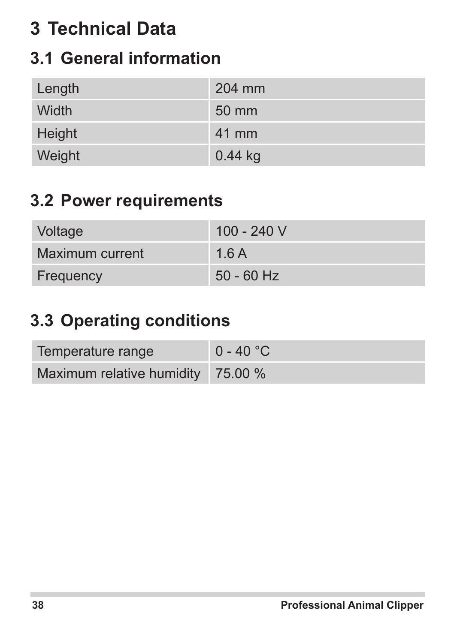# **3 Technical Data**

## **3.1 General information**

| Length | 204 mm    |
|--------|-----------|
| Width  | 50 mm     |
| Height | 41 mm     |
| Weight | $0.44$ kg |

## **3.2 Power requirements**

| Voltage         | 100 - 240 V  |
|-----------------|--------------|
| Maximum current | 1.6A         |
| Frequency       | $50 - 60$ Hz |

## **3.3 Operating conditions**

| Temperature range                           | $0 - 40 °C$ |
|---------------------------------------------|-------------|
| Maximum relative humidity $\frac{75.00}{6}$ |             |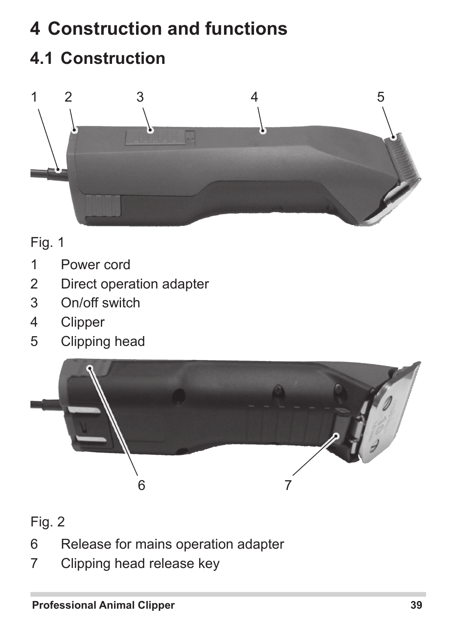# **Construction and functions 4.1 Construction**



Fig. 1

- Power cord
- Direct operation adapter
- On/off switch
- Clipper
- Clipping head



Fig. 2

- Release for mains operation adapter
- Clipping head release key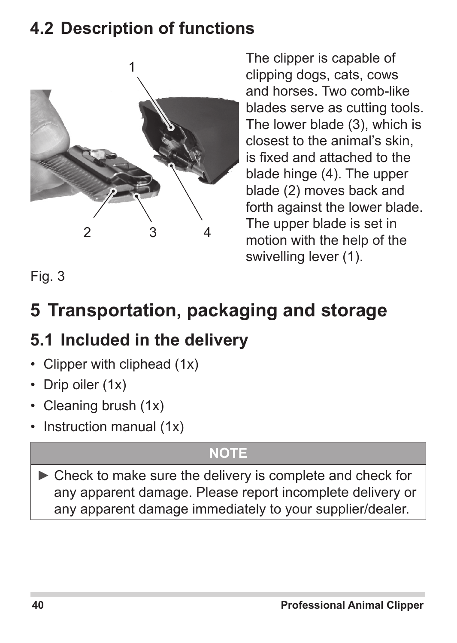## **4.2 Description of functions**



The clipper is capable of clipping dogs, cats, cows and horses. Two comb-like blades serve as cutting tools. The lower blade (3), which is closest to the animal's skin, is fixed and attached to the blade hinge (4). The upper blade (2) moves back and forth against the lower blade. The upper blade is set in motion with the help of the swivelling lever (1).

Fig. 3

# **5 Transportation, packaging and storage**

## **5.1 Included in the delivery**

- Clipper with cliphead (1x)
- Drip oiler (1x)
- Cleaning brush (1x)
- Instruction manual (1x)

## **NOTE**

► Check to make sure the delivery is complete and check for any apparent damage. Please report incomplete delivery or any apparent damage immediately to your supplier/dealer.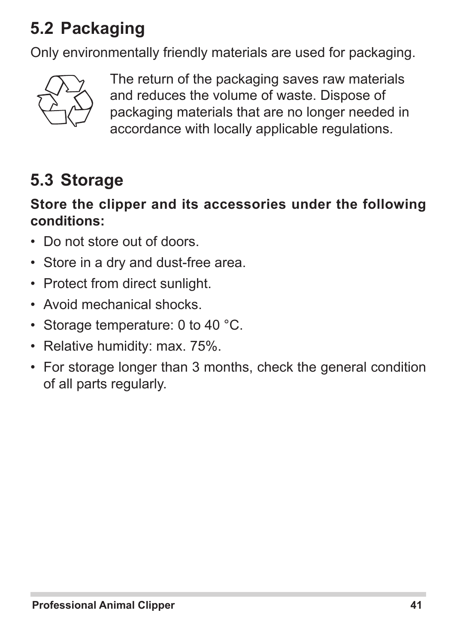# **5.2 Packaging**

Only environmentally friendly materials are used for packaging.



The return of the packaging saves raw materials and reduces the volume of waste. Dispose of packaging materials that are no longer needed in accordance with locally applicable regulations.

## **5.3 Storage**

#### **Store the clipper and its accessories under the following conditions:**

- Do not store out of doors.
- Store in a dry and dust-free area.
- Protect from direct sunlight.
- • Avoid mechanical shocks.
- Storage temperature: 0 to 40 °C.
- Relative humidity: max. 75%.
- For storage longer than 3 months, check the general condition of all parts regularly.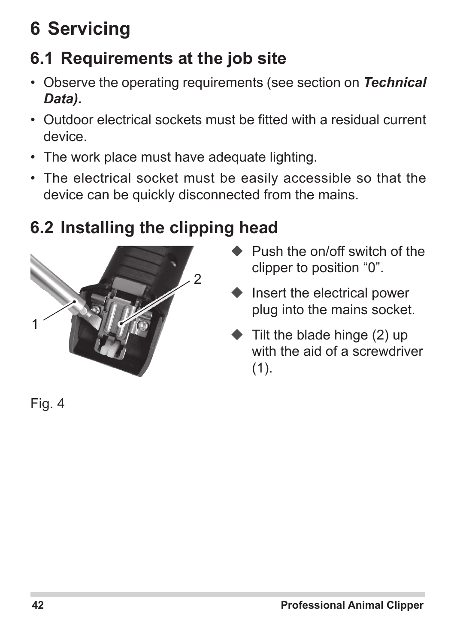# **6 Servicing**

# **6.1 Requirements at the job site**

- • Observe the operating requirements (see section on *Technical Data).*
- • Outdoor electrical sockets must be fitted with a residual current device.
- The work place must have adequate lighting.
- The electrical socket must be easily accessible so that the device can be quickly disconnected from the mains.

# **6.2 Installing the clipping head**



- **► Push the on/off switch of the** clipper to position "0".
- $\blacklozenge$  Insert the electrical power plug into the mains socket.
- $\blacktriangleright$  Tilt the blade hinge (2) up with the aid of a screwdriver (1).

Fig. 4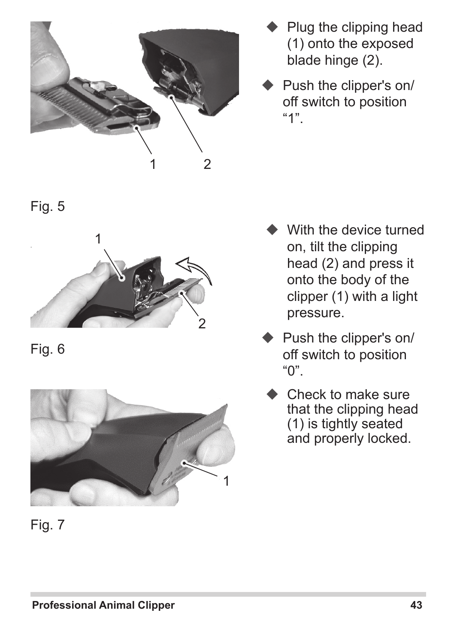

- Plug the clipping head (1) onto the exposed blade hinge (2).
- Push the clipper's on/ off switch to position "1".

- With the device turned on, tilt the clipping head (2) and press it onto the body of the clipper (1) with a light pressure.
- Push the clipper's on/ off switch to position "0".
- Check to make sure that the clipping head (1) is tightly seated and properly locked.

Fig. 5



Fig. 6



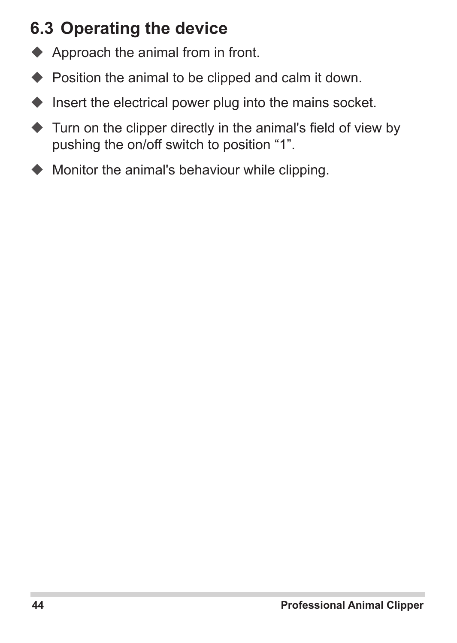## **6.3 Operating the device**

- ◆ Approach the animal from in front.
- ◆ Position the animal to be clipped and calm it down.
- $\blacklozenge$  Insert the electrical power plug into the mains socket.
- $\blacklozenge$  Turn on the clipper directly in the animal's field of view by pushing the on/off switch to position "1".
- $\blacklozenge$  Monitor the animal's behaviour while clipping.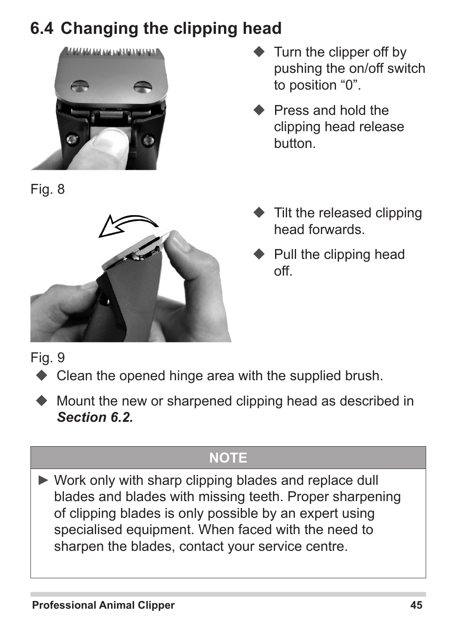# **6.4 Changing the clipping head**



Fig. 8



- Turn the clipper off by pushing the on/off switch to position "0".
- Press and hold the clipping head release button.
- $\bullet$  Tilt the released clipping head forwards.
- Pull the clipping head off.

Fig. 9

- ◆ Clean the opened hinge area with the supplied brush.
- Mount the new or sharpened clipping head as described in *Section 6.2.*

### **NOTE**

► Work only with sharp clipping blades and replace dull blades and blades with missing teeth. Proper sharpening of clipping blades is only possible by an expert using specialised equipment. When faced with the need to sharpen the blades, contact your service centre.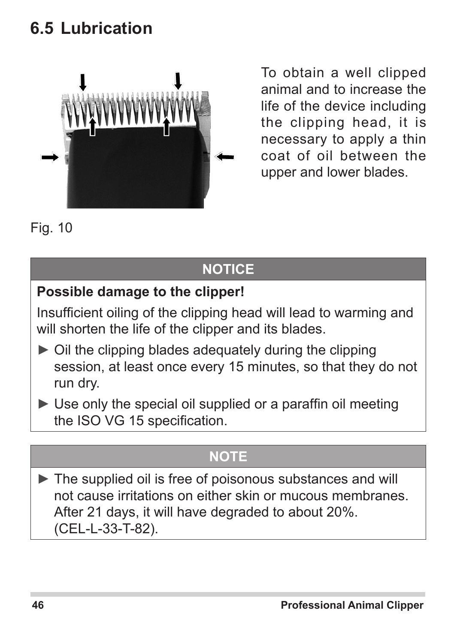## **6.5 Lubrication**



To obtain a well clipped animal and to increase the life of the device including the clipping head, it is necessary to apply a thin coat of oil between the upper and lower blades.

Fig. 10

## **NOTICE**

### **Possible damage to the clipper!**

Insufficient oiling of the clipping head will lead to warming and will shorten the life of the clipper and its blades.

- $\triangleright$  Oil the clipping blades adequately during the clipping session, at least once every 15 minutes, so that they do not run dry.
- $\blacktriangleright$  Use only the special oil supplied or a paraffin oil meeting the ISO VG 15 specification.

### **NOTE**

► The supplied oil is free of poisonous substances and will not cause irritations on either skin or mucous membranes. After 21 days, it will have degraded to about 20%. (CEL-L-33-T-82).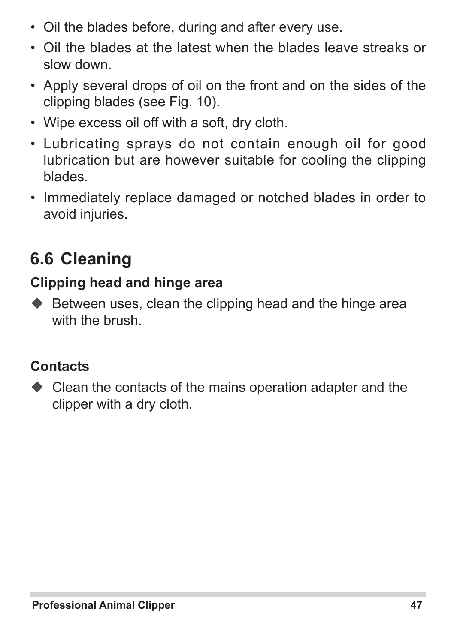- Oil the blades before, during and after every use.
- • Oil the blades at the latest when the blades leave streaks or slow down.
- Apply several drops of oil on the front and on the sides of the clipping blades (see Fig. 10).
- • Wipe excess oil off with a soft, dry cloth.
- • Lubricating sprays do not contain enough oil for good lubrication but are however suitable for cooling the clipping blades.
- Immediately replace damaged or notched blades in order to avoid injuries.

## **6.6 Cleaning**

#### **Clipping head and hinge area**

 $\blacklozenge$  Between uses, clean the clipping head and the hinge area with the brush.

#### **Contacts**

◆ Clean the contacts of the mains operation adapter and the clipper with a dry cloth.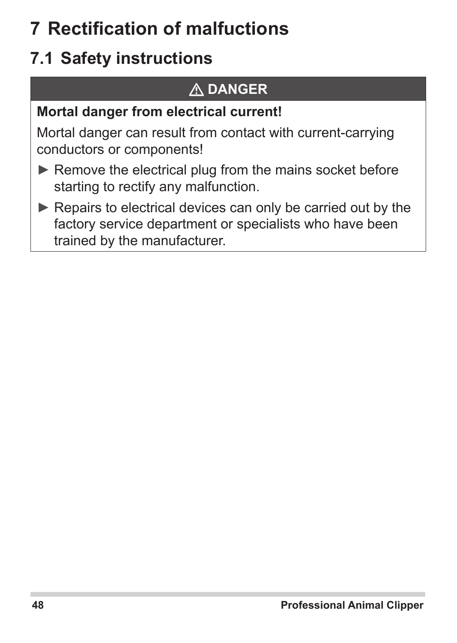# **7 Rectification of malfuctions**

# **7.1 Safety instructions**

## **DANGER**

### **Mortal danger from electrical current!**

Mortal danger can result from contact with current-carrying conductors or components!

- ► Remove the electrical plug from the mains socket before starting to rectify any malfunction.
- ► Repairs to electrical devices can only be carried out by the factory service department or specialists who have been trained by the manufacturer.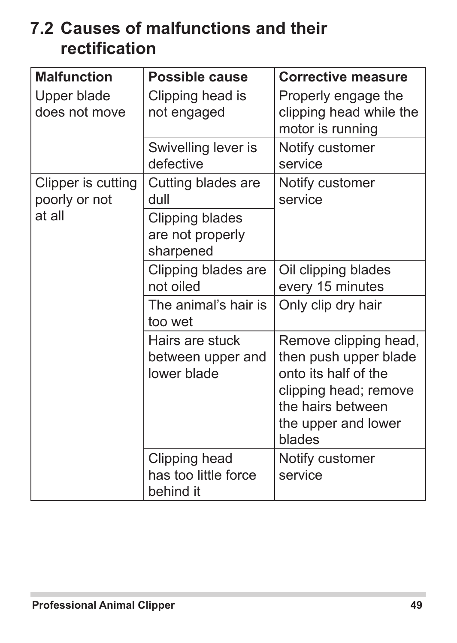## **7.2 Causes of malfunctions and their rectification**

| <b>Malfunction</b>                  | Possible cause                                      | <b>Corrective measure</b>                                                                                                                             |
|-------------------------------------|-----------------------------------------------------|-------------------------------------------------------------------------------------------------------------------------------------------------------|
| Upper blade<br>does not move        | Clipping head is<br>not engaged                     | Properly engage the<br>clipping head while the<br>motor is running                                                                                    |
|                                     | Swivelling lever is<br>defective                    | Notify customer<br>service                                                                                                                            |
| Clipper is cutting<br>poorly or not | Cutting blades are<br>dull                          | Notify customer<br>service                                                                                                                            |
| at all                              | Clipping blades<br>are not properly<br>sharpened    |                                                                                                                                                       |
|                                     | Clipping blades are<br>not oiled                    | Oil clipping blades<br>every 15 minutes                                                                                                               |
|                                     | The animal's hair is<br>too wet                     | Only clip dry hair                                                                                                                                    |
|                                     | Hairs are stuck<br>between upper and<br>lower blade | Remove clipping head,<br>then push upper blade<br>onto its half of the<br>clipping head; remove<br>the hairs between<br>the upper and lower<br>blades |
|                                     | Clipping head<br>has too little force<br>behind it  | Notify customer<br>service                                                                                                                            |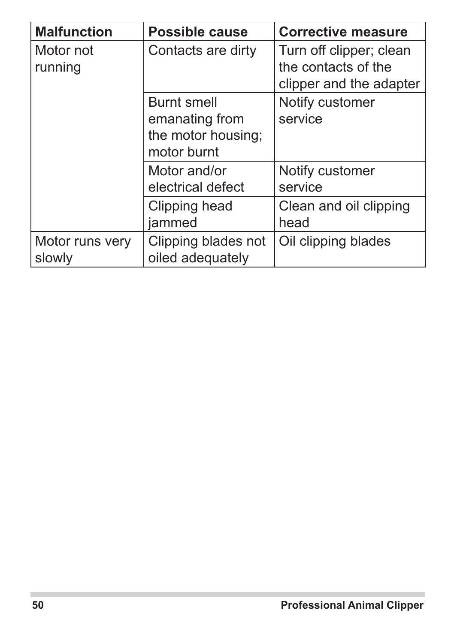| <b>Malfunction</b>        | Possible cause                                                     | <b>Corrective measure</b>                                                 |
|---------------------------|--------------------------------------------------------------------|---------------------------------------------------------------------------|
| Motor not<br>running      | Contacts are dirty                                                 | Turn off clipper; clean<br>the contacts of the<br>clipper and the adapter |
|                           | Burnt smell<br>emanating from<br>the motor housing:<br>motor burnt | Notify customer<br>service                                                |
|                           | Motor and/or<br>electrical defect                                  | Notify customer<br>service                                                |
|                           | Clipping head<br>jammed                                            | Clean and oil clipping<br>head                                            |
| Motor runs very<br>slowly | Clipping blades not<br>oiled adequately                            | Oil clipping blades                                                       |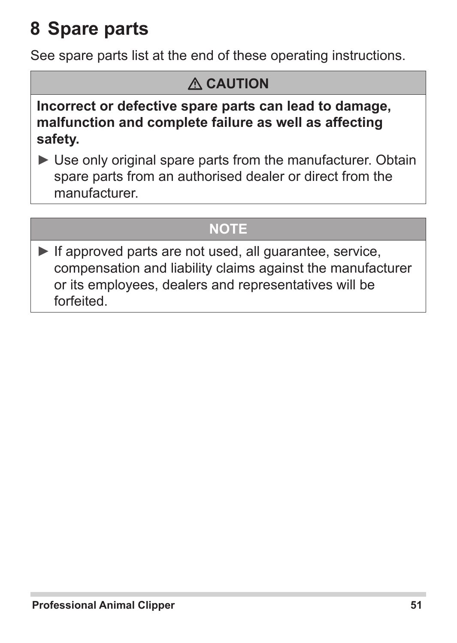# **8 Spare parts**

See spare parts list at the end of these operating instructions.

## **CAUTION**

**Incorrect or defective spare parts can lead to damage, malfunction and complete failure as well as affecting safety.**

► Use only original spare parts from the manufacturer. Obtain spare parts from an authorised dealer or direct from the manufacturer.

### **NOTE**

 $\blacktriangleright$  If approved parts are not used, all quarantee, service, compensation and liability claims against the manufacturer or its employees, dealers and representatives will be forfeited.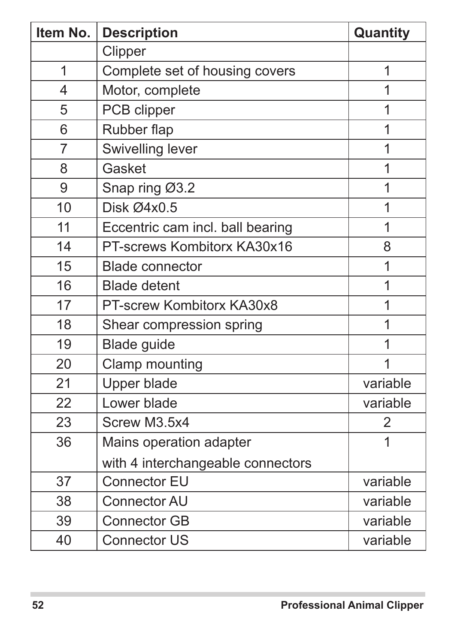| Item No. | <b>Description</b>                | Quantity |
|----------|-----------------------------------|----------|
|          | Clipper                           |          |
| 1        | Complete set of housing covers    | 1        |
| 4        | Motor, complete                   | 1        |
| 5        | PCB clipper                       | 1        |
| 6        | Rubber flap                       | 1        |
| 7        | Swivelling lever                  | 1        |
| 8        | Gasket                            | 1        |
| 9        | Snap ring Ø3.2                    | 1        |
| 10       | Disk Ø4x0.5                       | 1        |
| 11       | Eccentric cam incl. ball bearing  | 1        |
| 14       | PT-screws Kombitorx KA30x16       | 8        |
| 15       | <b>Blade connector</b>            | 1        |
| 16       | <b>Blade detent</b>               | 1        |
| 17       | PT-screw Kombitorx KA30x8         | 1        |
| 18       | Shear compression spring          | 1        |
| 19       | Blade guide                       | 1        |
| 20       | Clamp mounting                    | 1        |
| 21       | Upper blade                       | variable |
| 22       | Lower blade                       | variable |
| 23       | Screw M3.5x4                      | 2        |
| 36       | Mains operation adapter           | 1        |
|          | with 4 interchangeable connectors |          |
| 37       | Connector EU                      | variable |
| 38       | Connector AU                      | variable |
| 39       | <b>Connector GB</b>               | variable |
| 40       | <b>Connector US</b>               | variable |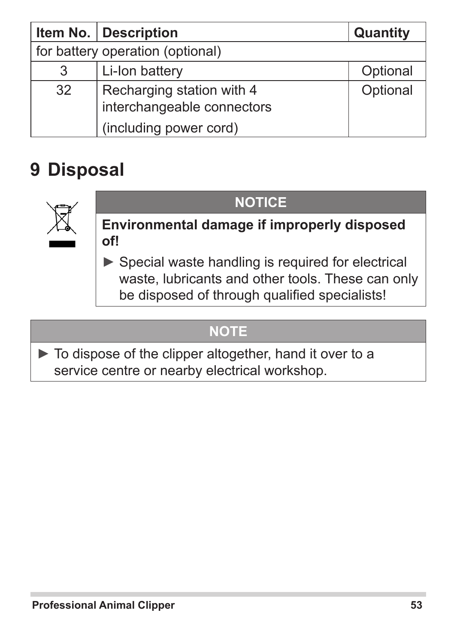|                                  | Item No.   Description                                  | Quantity |
|----------------------------------|---------------------------------------------------------|----------|
| for battery operation (optional) |                                                         |          |
| 3                                | Li-Ion battery                                          | Optional |
| 32                               | Recharging station with 4<br>interchangeable connectors | Optional |
|                                  | (including power cord)                                  |          |

# **9 Disposal**



### **NOTICE**

**Environmental damage if improperly disposed of!**

► Special waste handling is required for electrical waste, lubricants and other tools. These can only be disposed of through qualified specialists!

### **NOTE**

► To dispose of the clipper altogether, hand it over to a service centre or nearby electrical workshop.